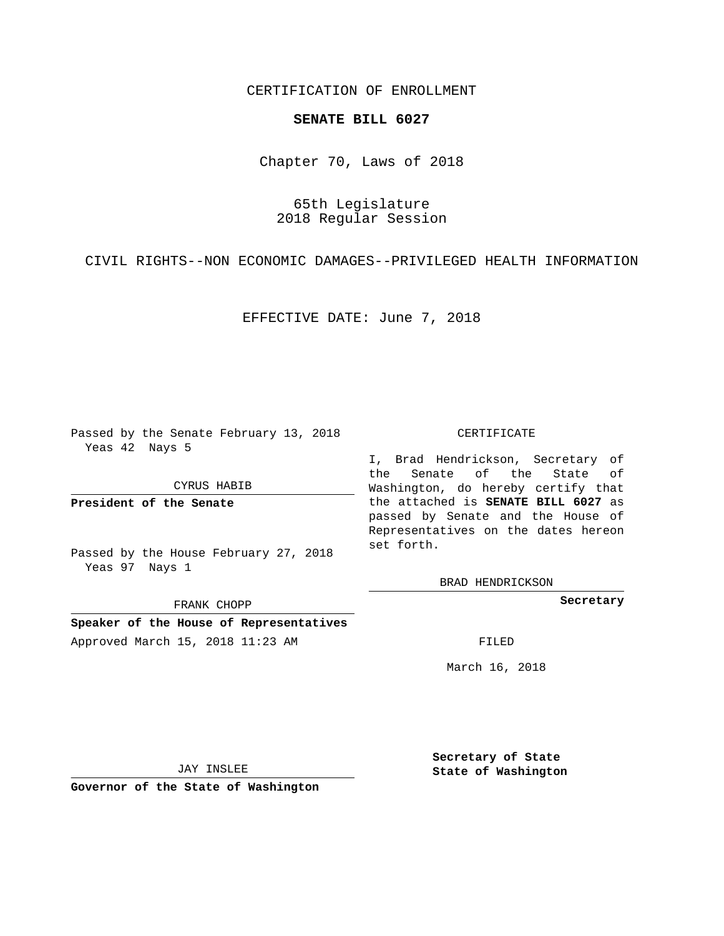## CERTIFICATION OF ENROLLMENT

## **SENATE BILL 6027**

Chapter 70, Laws of 2018

65th Legislature 2018 Regular Session

CIVIL RIGHTS--NON ECONOMIC DAMAGES--PRIVILEGED HEALTH INFORMATION

EFFECTIVE DATE: June 7, 2018

Passed by the Senate February 13, 2018 Yeas 42 Nays 5

CYRUS HABIB

**President of the Senate**

Passed by the House February 27, 2018 Yeas 97 Nays 1

FRANK CHOPP

**Speaker of the House of Representatives** Approved March 15, 2018 11:23 AM FILED

## CERTIFICATE

I, Brad Hendrickson, Secretary of the Senate of the State of Washington, do hereby certify that the attached is **SENATE BILL 6027** as passed by Senate and the House of Representatives on the dates hereon set forth.

BRAD HENDRICKSON

**Secretary**

March 16, 2018

JAY INSLEE

**Governor of the State of Washington**

**Secretary of State State of Washington**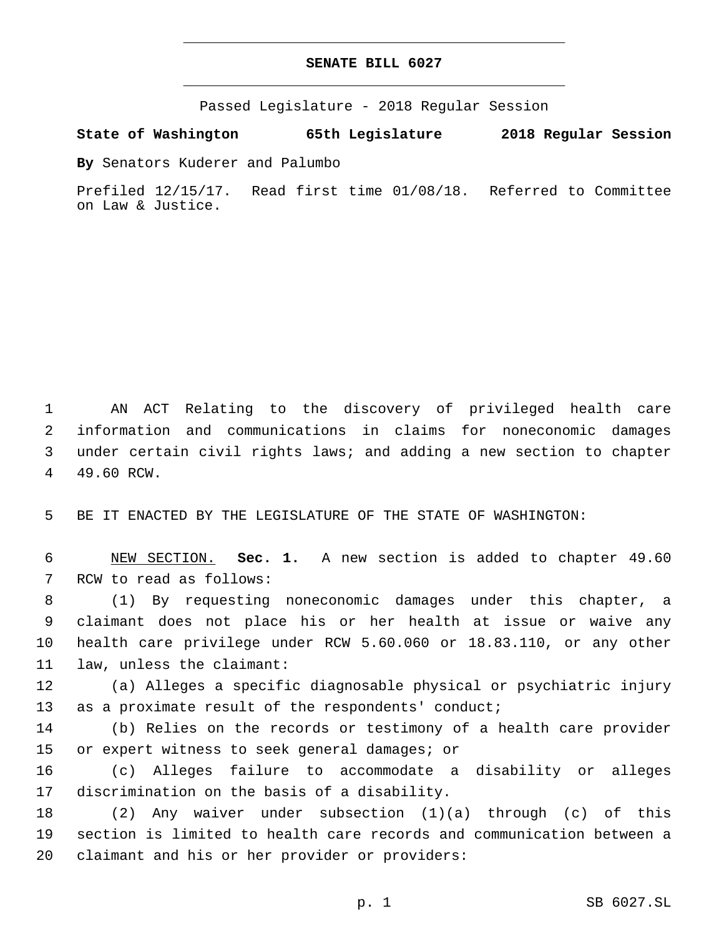## **SENATE BILL 6027**

Passed Legislature - 2018 Regular Session

**State of Washington 65th Legislature 2018 Regular Session**

**By** Senators Kuderer and Palumbo

Prefiled 12/15/17. Read first time 01/08/18. Referred to Committee on Law & Justice.

 AN ACT Relating to the discovery of privileged health care information and communications in claims for noneconomic damages under certain civil rights laws; and adding a new section to chapter 4 49.60 RCW.

5 BE IT ENACTED BY THE LEGISLATURE OF THE STATE OF WASHINGTON:

6 NEW SECTION. **Sec. 1.** A new section is added to chapter 49.60 7 RCW to read as follows:

 (1) By requesting noneconomic damages under this chapter, a claimant does not place his or her health at issue or waive any health care privilege under RCW 5.60.060 or 18.83.110, or any other 11 law, unless the claimant:

12 (a) Alleges a specific diagnosable physical or psychiatric injury 13 as a proximate result of the respondents' conduct;

14 (b) Relies on the records or testimony of a health care provider 15 or expert witness to seek general damages; or

16 (c) Alleges failure to accommodate a disability or alleges 17 discrimination on the basis of a disability.

18 (2) Any waiver under subsection (1)(a) through (c) of this 19 section is limited to health care records and communication between a 20 claimant and his or her provider or providers: